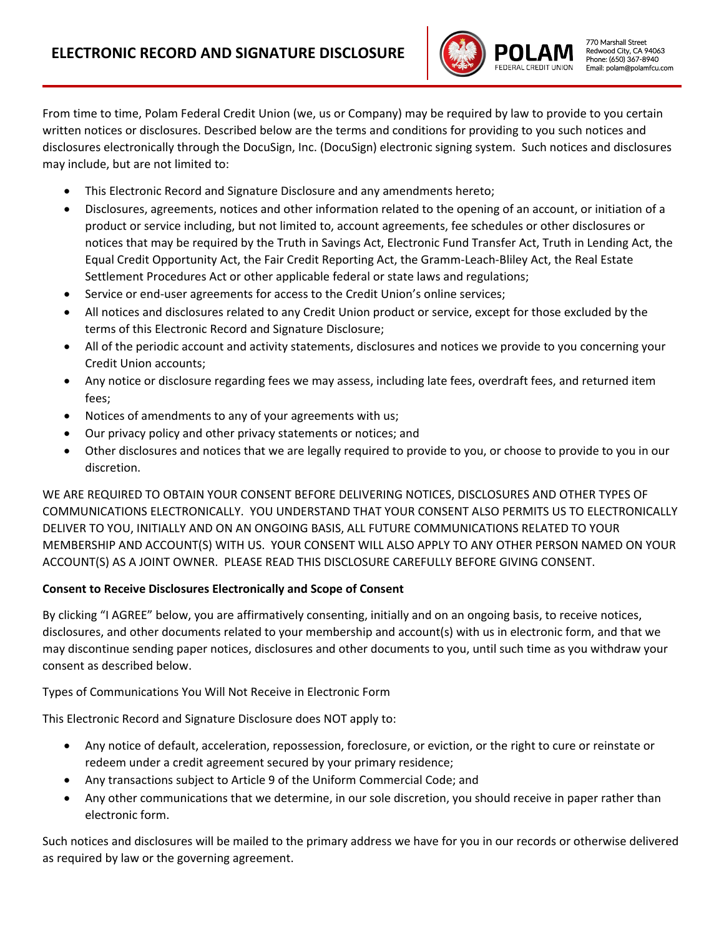

From time to time, Polam Federal Credit Union (we, us or Company) may be required by law to provide to you certain written notices or disclosures. Described below are the terms and conditions for providing to you such notices and disclosures electronically through the DocuSign, Inc. (DocuSign) electronic signing system. Such notices and disclosures may include, but are not limited to:

- This Electronic Record and Signature Disclosure and any amendments hereto;
- Disclosures, agreements, notices and other information related to the opening of an account, or initiation of a product or service including, but not limited to, account agreements, fee schedules or other disclosures or notices that may be required by the Truth in Savings Act, Electronic Fund Transfer Act, Truth in Lending Act, the Equal Credit Opportunity Act, the Fair Credit Reporting Act, the Gramm-Leach-Bliley Act, the Real Estate Settlement Procedures Act or other applicable federal or state laws and regulations;
- Service or end-user agreements for access to the Credit Union's online services;
- All notices and disclosures related to any Credit Union product or service, except for those excluded by the terms of this Electronic Record and Signature Disclosure;
- All of the periodic account and activity statements, disclosures and notices we provide to you concerning your Credit Union accounts;
- Any notice or disclosure regarding fees we may assess, including late fees, overdraft fees, and returned item fees;
- Notices of amendments to any of your agreements with us;
- Our privacy policy and other privacy statements or notices; and
- Other disclosures and notices that we are legally required to provide to you, or choose to provide to you in our discretion.

WE ARE REQUIRED TO OBTAIN YOUR CONSENT BEFORE DELIVERING NOTICES, DISCLOSURES AND OTHER TYPES OF COMMUNICATIONS ELECTRONICALLY. YOU UNDERSTAND THAT YOUR CONSENT ALSO PERMITS US TO ELECTRONICALLY DELIVER TO YOU, INITIALLY AND ON AN ONGOING BASIS, ALL FUTURE COMMUNICATIONS RELATED TO YOUR MEMBERSHIP AND ACCOUNT(S) WITH US. YOUR CONSENT WILL ALSO APPLY TO ANY OTHER PERSON NAMED ON YOUR ACCOUNT(S) AS A JOINT OWNER. PLEASE READ THIS DISCLOSURE CAREFULLY BEFORE GIVING CONSENT.

### **Consent to Receive Disclosures Electronically and Scope of Consent**

By clicking "I AGREE" below, you are affirmatively consenting, initially and on an ongoing basis, to receive notices, disclosures, and other documents related to your membership and account(s) with us in electronic form, and that we may discontinue sending paper notices, disclosures and other documents to you, until such time as you withdraw your consent as described below.

Types of Communications You Will Not Receive in Electronic Form

This Electronic Record and Signature Disclosure does NOT apply to:

- Any notice of default, acceleration, repossession, foreclosure, or eviction, or the right to cure or reinstate or redeem under a credit agreement secured by your primary residence;
- Any transactions subject to Article 9 of the Uniform Commercial Code; and
- Any other communications that we determine, in our sole discretion, you should receive in paper rather than electronic form.

Such notices and disclosures will be mailed to the primary address we have for you in our records or otherwise delivered as required by law or the governing agreement.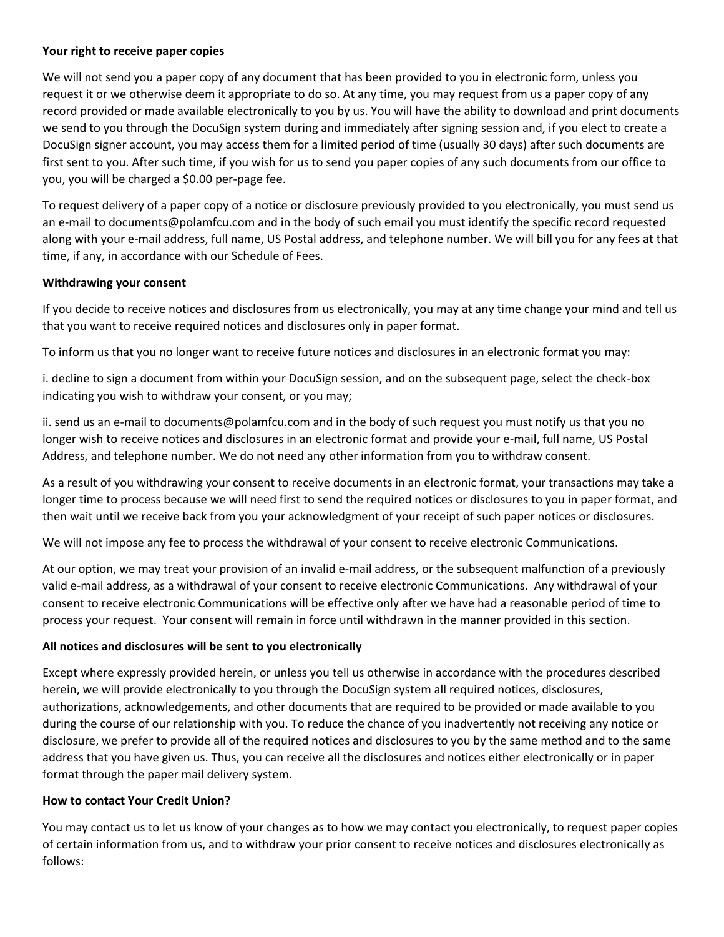### **Your right to receive paper copies**

We will not send you a paper copy of any document that has been provided to you in electronic form, unless you request it or we otherwise deem it appropriate to do so. At any time, you may request from us a paper copy of any record provided or made available electronically to you by us. You will have the ability to download and print documents we send to you through the DocuSign system during and immediately after signing session and, if you elect to create a DocuSign signer account, you may access them for a limited period of time (usually 30 days) after such documents are first sent to you. After such time, if you wish for us to send you paper copies of any such documents from our office to you, you will be charged a \$0.00 per-page fee.

To request delivery of a paper copy of a notice or disclosure previously provided to you electronically, you must send us an e-mail to documents@polamfcu.com and in the body of such email you must identify the specific record requested along with your e-mail address, full name, US Postal address, and telephone number. We will bill you for any fees at that time, if any, in accordance with our Schedule of Fees.

### **Withdrawing your consent**

If you decide to receive notices and disclosures from us electronically, you may at any time change your mind and tell us that you want to receive required notices and disclosures only in paper format.

To inform us that you no longer want to receive future notices and disclosures in an electronic format you may:

i. decline to sign a document from within your DocuSign session, and on the subsequent page, select the check-box indicating you wish to withdraw your consent, or you may;

ii. send us an e-mail to documents@polamfcu.com and in the body of such request you must notify us that you no longer wish to receive notices and disclosures in an electronic format and provide your e-mail, full name, US Postal Address, and telephone number. We do not need any other information from you to withdraw consent.

As a result of you withdrawing your consent to receive documents in an electronic format, your transactions may take a longer time to process because we will need first to send the required notices or disclosures to you in paper format, and then wait until we receive back from you your acknowledgment of your receipt of such paper notices or disclosures.

We will not impose any fee to process the withdrawal of your consent to receive electronic Communications.

At our option, we may treat your provision of an invalid e-mail address, or the subsequent malfunction of a previously valid e-mail address, as a withdrawal of your consent to receive electronic Communications. Any withdrawal of your consent to receive electronic Communications will be effective only after we have had a reasonable period of time to process your request. Your consent will remain in force until withdrawn in the manner provided in this section.

### **All notices and disclosures will be sent to you electronically**

Except where expressly provided herein, or unless you tell us otherwise in accordance with the procedures described herein, we will provide electronically to you through the DocuSign system all required notices, disclosures, authorizations, acknowledgements, and other documents that are required to be provided or made available to you during the course of our relationship with you. To reduce the chance of you inadvertently not receiving any notice or disclosure, we prefer to provide all of the required notices and disclosures to you by the same method and to the same address that you have given us. Thus, you can receive all the disclosures and notices either electronically or in paper format through the paper mail delivery system.

# **How to contact Your Credit Union?**

You may contact us to let us know of your changes as to how we may contact you electronically, to request paper copies of certain information from us, and to withdraw your prior consent to receive notices and disclosures electronically as follows: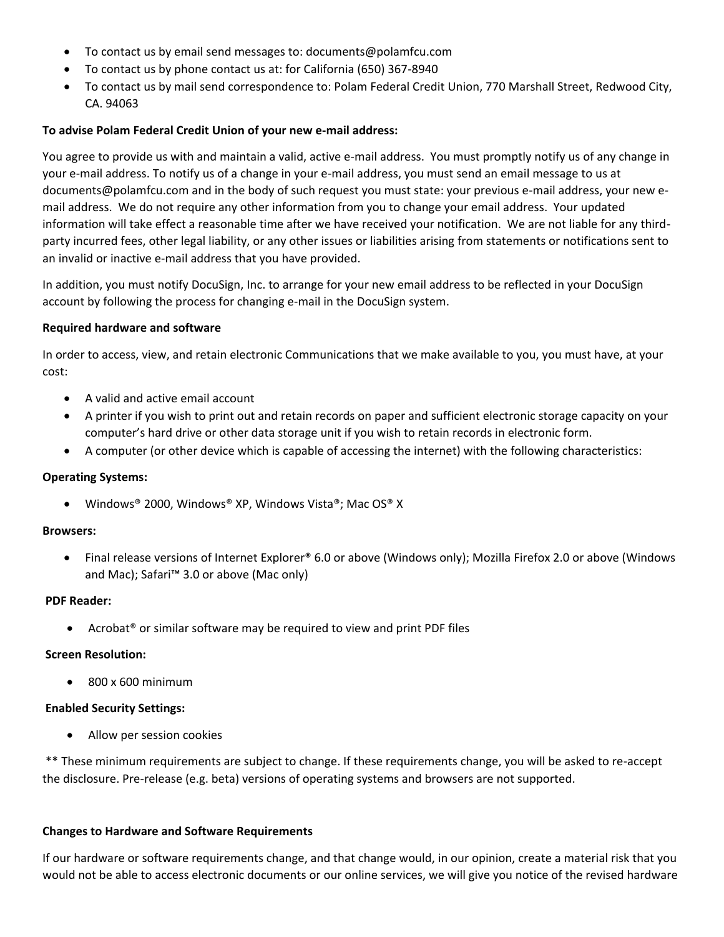- To contact us by email send messages to: documents@polamfcu.com
- To contact us by phone contact us at: for California (650) 367-8940
- To contact us by mail send correspondence to: Polam Federal Credit Union, 770 Marshall Street, Redwood City, CA. 94063

### **To advise Polam Federal Credit Union of your new e-mail address:**

You agree to provide us with and maintain a valid, active e-mail address. You must promptly notify us of any change in your e-mail address. To notify us of a change in your e-mail address, you must send an email message to us at documents@polamfcu.com and in the body of such request you must state: your previous e-mail address, your new email address. We do not require any other information from you to change your email address. Your updated information will take effect a reasonable time after we have received your notification. We are not liable for any thirdparty incurred fees, other legal liability, or any other issues or liabilities arising from statements or notifications sent to an invalid or inactive e-mail address that you have provided.

In addition, you must notify DocuSign, Inc. to arrange for your new email address to be reflected in your DocuSign account by following the process for changing e-mail in the DocuSign system.

#### **Required hardware and software**

In order to access, view, and retain electronic Communications that we make available to you, you must have, at your cost:

- A valid and active email account
- A printer if you wish to print out and retain records on paper and sufficient electronic storage capacity on your computer's hard drive or other data storage unit if you wish to retain records in electronic form.
- A computer (or other device which is capable of accessing the internet) with the following characteristics:

### **Operating Systems:**

• Windows® 2000, Windows® XP, Windows Vista®; Mac OS® X

### **Browsers:**

• Final release versions of Internet Explorer® 6.0 or above (Windows only); Mozilla Firefox 2.0 or above (Windows and Mac); Safari™ 3.0 or above (Mac only)

#### **PDF Reader:**

• Acrobat<sup>®</sup> or similar software may be required to view and print PDF files

### **Screen Resolution:**

• 800 x 600 minimum

#### **Enabled Security Settings:**

• Allow per session cookies

\*\* These minimum requirements are subject to change. If these requirements change, you will be asked to re-accept the disclosure. Pre-release (e.g. beta) versions of operating systems and browsers are not supported.

#### **Changes to Hardware and Software Requirements**

If our hardware or software requirements change, and that change would, in our opinion, create a material risk that you would not be able to access electronic documents or our online services, we will give you notice of the revised hardware